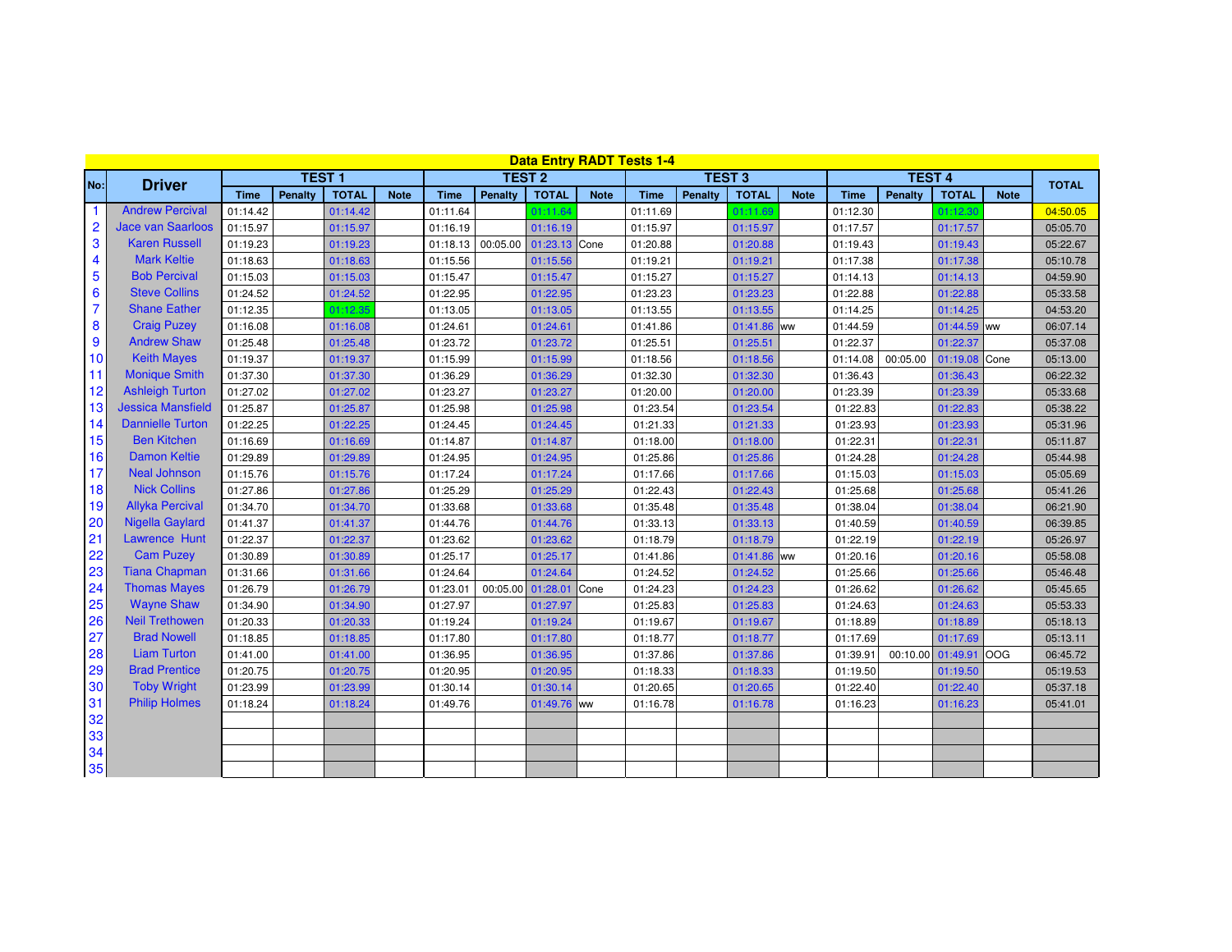| <b>Data Entry RADT Tests 1-4</b><br><b>TEST 4</b> |                          |             |                |              |             |             |                   |               |             |             |               |              |             |             |              |               |             |          |
|---------------------------------------------------|--------------------------|-------------|----------------|--------------|-------------|-------------|-------------------|---------------|-------------|-------------|---------------|--------------|-------------|-------------|--------------|---------------|-------------|----------|
| No:                                               | <b>Driver</b>            |             | <b>TEST1</b>   |              |             |             | <b>TEST 2</b>     |               |             |             | <b>TEST 3</b> |              |             |             | <b>TOTAL</b> |               |             |          |
|                                                   |                          | <b>Time</b> | <b>Penalty</b> | <b>TOTAL</b> | <b>Note</b> | <b>Time</b> | <b>Penalty</b>    | <b>TOTAL</b>  | <b>Note</b> | <b>Time</b> | Penalty       | <b>TOTAL</b> | <b>Note</b> | <b>Time</b> | Penalty      | <b>TOTAL</b>  | <b>Note</b> |          |
|                                                   | <b>Andrew Percival</b>   | 01:14.42    |                | 01:14.42     |             | 01:11.64    |                   | 01:11.64      |             | 01:11.69    |               | 01:11.69     |             | 01:12.30    |              | 01:12.30      |             | 04:50.05 |
| $\overline{2}$                                    | <b>Jace van Saarloos</b> | 01:15.97    |                | 01:15.97     |             | 01:16.19    |                   | 01:16.19      |             | 01:15.97    |               | 01:15.97     |             | 01:17.57    |              | 01:17.57      |             | 05:05.70 |
| 3                                                 | <b>Karen Russell</b>     | 01:19.23    |                | 01:19.23     |             |             | 01:18.13 00:05.00 | 01:23.13 Cone |             | 01:20.88    |               | 01:20.88     |             | 01:19.43    |              | 01:19.43      |             | 05:22.67 |
| 4                                                 | <b>Mark Keltie</b>       | 01:18.63    |                | 01:18.63     |             | 01:15.56    |                   | 01:15.56      |             | 01:19.21    |               | 01:19.21     |             | 01:17.38    |              | 01:17.38      |             | 05:10.78 |
| 5                                                 | <b>Bob Percival</b>      | 01:15.03    |                | 01:15.03     |             | 01:15.47    |                   | 01:15.47      |             | 01:15.27    |               | 01:15.27     |             | 01:14.13    |              | 01:14.13      |             | 04:59.90 |
| 6                                                 | <b>Steve Collins</b>     | 01:24.52    |                | 01:24.52     |             | 01:22.95    |                   | 01:22.95      |             | 01:23.23    |               | 01:23.23     |             | 01:22.88    |              | 01:22.88      |             | 05:33.58 |
| $\overline{7}$                                    | <b>Shane Eather</b>      | 01:12.35    |                | 01:12.35     |             | 01:13.05    |                   | 01:13.05      |             | 01:13.55    |               | 01:13.55     |             | 01:14.25    |              | 01:14.25      |             | 04:53.20 |
| 8                                                 | <b>Craig Puzey</b>       | 01:16.08    |                | 01:16.08     |             | 01:24.61    |                   | 01:24.61      |             | 01:41.86    |               | 01:41.86 ww  |             | 01:44.59    |              | 01:44.59 ww   |             | 06:07.14 |
| 9                                                 | <b>Andrew Shaw</b>       | 01:25.48    |                | 01:25.48     |             | 01:23.72    |                   | 01:23.72      |             | 01:25.51    |               | 01:25.51     |             | 01:22.37    |              | 01:22.37      |             | 05:37.08 |
| 10                                                | <b>Keith Mayes</b>       | 01:19.37    |                | 01:19.37     |             | 01:15.99    |                   | 01:15.99      |             | 01:18.56    |               | 01:18.56     |             | 01:14.08    | 00:05.00     | 01:19.08 Cone |             | 05:13.00 |
| 11                                                | <b>Monique Smith</b>     | 01:37.30    |                | 01:37.30     |             | 01:36.29    |                   | 01:36.29      |             | 01:32.30    |               | 01:32.30     |             | 01:36.43    |              | 01:36.43      |             | 06:22.32 |
| 12                                                | <b>Ashleigh Turton</b>   | 01:27.02    |                | 01:27.02     |             | 01:23.27    |                   | 01:23.27      |             | 01:20.00    |               | 01:20.00     |             | 01:23.39    |              | 01:23.39      |             | 05:33.68 |
| 13                                                | <b>Jessica Mansfield</b> | 01:25.87    |                | 01:25.87     |             | 01:25.98    |                   | 01:25.98      |             | 01:23.54    |               | 01:23.54     |             | 01:22.83    |              | 01:22.83      |             | 05:38.22 |
| 14                                                | <b>Dannielle Turton</b>  | 01:22.25    |                | 01:22.25     |             | 01:24.45    |                   | 01:24.45      |             | 01:21.33    |               | 01:21.33     |             | 01:23.93    |              | 01:23.93      |             | 05:31.96 |
| 15                                                | <b>Ben Kitchen</b>       | 01:16.69    |                | 01:16.69     |             | 01:14.87    |                   | 01:14.87      |             | 01:18.00    |               | 01:18.00     |             | 01:22.31    |              | 01:22.31      |             | 05:11.87 |
| 16                                                | <b>Damon Keltie</b>      | 01:29.89    |                | 01:29.89     |             | 01:24.95    |                   | 01:24.95      |             | 01:25.86    |               | 01:25.86     |             | 01:24.28    |              | 01:24.28      |             | 05:44.98 |
| 17                                                | <b>Neal Johnson</b>      | 01:15.76    |                | 01:15.76     |             | 01:17.24    |                   | 01:17.24      |             | 01:17.66    |               | 01:17.66     |             | 01:15.03    |              | 01:15.03      |             | 05:05.69 |
| 18                                                | <b>Nick Collins</b>      | 01:27.86    |                | 01:27.86     |             | 01:25.29    |                   | 01:25.29      |             | 01:22.43    |               | 01:22.43     |             | 01:25.68    |              | 01:25.68      |             | 05:41.26 |
| 19                                                | <b>Allyka Percival</b>   | 01:34.70    |                | 01:34.70     |             | 01:33.68    |                   | 01:33.68      |             | 01:35.48    |               | 01:35.48     |             | 01:38.04    |              | 01:38.04      |             | 06:21.90 |
| 20                                                | <b>Nigella Gaylard</b>   | 01:41.37    |                | 01:41.37     |             | 01:44.76    |                   | 01:44.76      |             | 01:33.13    |               | 01:33.13     |             | 01:40.59    |              | 01:40.59      |             | 06:39.85 |
| 21                                                | Lawrence Hunt            | 01:22.37    |                | 01:22.37     |             | 01:23.62    |                   | 01:23.62      |             | 01:18.79    |               | 01:18.79     |             | 01:22.19    |              | 01:22.19      |             | 05:26.97 |
| 22                                                | <b>Cam Puzey</b>         | 01:30.89    |                | 01:30.89     |             | 01:25.17    |                   | 01:25.17      |             | 01:41.86    |               | 01:41.86 ww  |             | 01:20.16    |              | 01:20.16      |             | 05:58.08 |
| 23                                                | <b>Tiana Chapman</b>     | 01:31.66    |                | 01:31.66     |             | 01:24.64    |                   | 01:24.64      |             | 01:24.52    |               | 01:24.52     |             | 01:25.66    |              | 01:25.66      |             | 05:46.48 |
| 24                                                | <b>Thomas Mayes</b>      | 01:26.79    |                | 01:26.79     |             | 01:23.01    | 00:05.00          | 01:28.01      | <b>Cone</b> | 01:24.23    |               | 01:24.23     |             | 01:26.62    |              | 01:26.62      |             | 05:45.65 |
| 25                                                | <b>Wayne Shaw</b>        | 01:34.90    |                | 01:34.90     |             | 01:27.97    |                   | 01:27.97      |             | 01:25.83    |               | 01:25.83     |             | 01:24.63    |              | 01:24.63      |             | 05:53.33 |
| 26                                                | <b>Neil Trethowen</b>    | 01:20.33    |                | 01:20.33     |             | 01:19.24    |                   | 01:19.24      |             | 01:19.67    |               | 01:19.67     |             | 01:18.89    |              | 01:18.89      |             | 05:18.13 |
| 27                                                | <b>Brad Nowell</b>       | 01:18.85    |                | 01:18.85     |             | 01:17.80    |                   | 01:17.80      |             | 01:18.77    |               | 01:18.77     |             | 01:17.69    |              | 01:17.69      |             | 05:13.11 |
| 28                                                | <b>Liam Turton</b>       | 01:41.00    |                | 01:41.00     |             | 01:36.95    |                   | 01:36.95      |             | 01:37.86    |               | 01:37.86     |             | 01:39.91    | 00:10.00     | 01:49.91      | loog        | 06:45.72 |
| 29                                                | <b>Brad Prentice</b>     | 01:20.75    |                | 01:20.75     |             | 01:20.95    |                   | 01:20.95      |             | 01:18.33    |               | 01:18.33     |             | 01:19.50    |              | 01:19.50      |             | 05:19.53 |
| 30                                                | <b>Toby Wright</b>       | 01:23.99    |                | 01:23.99     |             | 01:30.14    |                   | 01:30.14      |             | 01:20.65    |               | 01:20.65     |             | 01:22.40    |              | 01:22.40      |             | 05:37.18 |
| 31                                                | <b>Philip Holmes</b>     | 01:18.24    |                | 01:18.24     |             | 01:49.76    |                   | 01:49.76 ww   |             | 01:16.78    |               | 01:16.78     |             | 01:16.23    |              | 01:16.23      |             | 05:41.01 |
| 32                                                |                          |             |                |              |             |             |                   |               |             |             |               |              |             |             |              |               |             |          |
| 33                                                |                          |             |                |              |             |             |                   |               |             |             |               |              |             |             |              |               |             |          |
| 34                                                |                          |             |                |              |             |             |                   |               |             |             |               |              |             |             |              |               |             |          |
| 35                                                |                          |             |                |              |             |             |                   |               |             |             |               |              |             |             |              |               |             |          |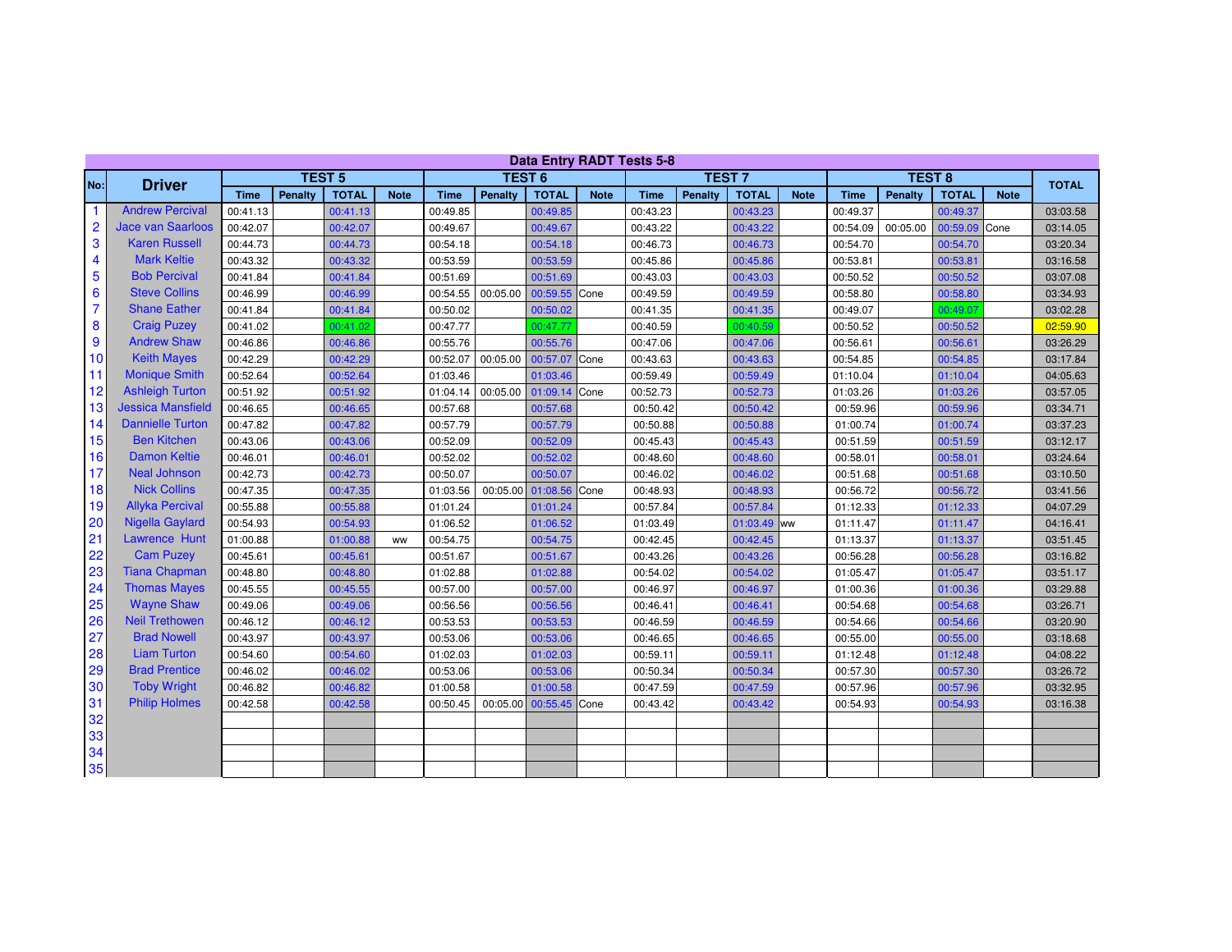| <b>Data Entry RADT Tests 5-8</b> |                          |             |               |              |             |               |                   |                   |             |             |               |              |             |             |              |               |             |          |
|----------------------------------|--------------------------|-------------|---------------|--------------|-------------|---------------|-------------------|-------------------|-------------|-------------|---------------|--------------|-------------|-------------|--------------|---------------|-------------|----------|
| No:                              | <b>Driver</b>            |             | <b>TEST 5</b> |              |             | <b>TEST 6</b> |                   |                   |             |             | <b>TEST 7</b> |              |             |             | <b>TOTAL</b> |               |             |          |
|                                  |                          | <b>Time</b> | Penalty       | <b>TOTAL</b> | <b>Note</b> | <b>Time</b>   | Penalty           | <b>TOTAL</b>      | <b>Note</b> | <b>Time</b> | Penalty       | <b>TOTAL</b> | <b>Note</b> | <b>Time</b> | Penalty      | <b>TOTAL</b>  | <b>Note</b> |          |
|                                  | <b>Andrew Percival</b>   | 00:41.13    |               | 00:41.13     |             | 00:49.85      |                   | 00:49.85          |             | 00:43.23    |               | 00:43.23     |             | 00:49.37    |              | 00:49.37      |             | 03:03.58 |
| $\overline{2}$                   | <b>Jace van Saarloos</b> | 00:42.07    |               | 00:42.07     |             | 00:49.67      |                   | 00:49.67          |             | 00:43.22    |               | 00:43.22     |             | 00:54.09    | 00:05.00     | 00:59.09 Cone |             | 03:14.05 |
| 3                                | <b>Karen Russell</b>     | 00:44.73    |               | 00:44.73     |             | 00:54.18      |                   | 00:54.18          |             | 00:46.73    |               | 00:46.73     |             | 00:54.70    |              | 00:54.70      |             | 03:20.34 |
| 4                                | <b>Mark Keltie</b>       | 00:43.32    |               | 00:43.32     |             | 00:53.59      |                   | 00:53.59          |             | 00:45.86    |               | 00:45.86     |             | 00:53.81    |              | 00:53.81      |             | 03:16.58 |
| 5                                | <b>Bob Percival</b>      | 00:41.84    |               | 00:41.84     |             | 00:51.69      |                   | 00:51.69          |             | 00:43.03    |               | 00:43.03     |             | 00:50.52    |              | 00:50.52      |             | 03:07.08 |
| 6                                | <b>Steve Collins</b>     | 00:46.99    |               | 00:46.99     |             |               | 00:54.55 00:05.00 | 00:59.55 Cone     |             | 00:49.59    |               | 00:49.59     |             | 00:58.80    |              | 00:58.80      |             | 03:34.93 |
| $\overline{7}$                   | <b>Shane Eather</b>      | 00:41.84    |               | 00:41.84     |             | 00:50.02      |                   | 00:50.02          |             | 00:41.35    |               | 00:41.35     |             | 00:49.07    |              | 00:49.07      |             | 03:02.28 |
| 8                                | <b>Craig Puzey</b>       | 00:41.02    |               | 00:41.02     |             | 00:47.77      |                   | 00:47.77          |             | 00:40.59    |               | 00:40.59     |             | 00:50.52    |              | 00:50.52      |             | 02:59.90 |
| 9                                | <b>Andrew Shaw</b>       | 00:46.86    |               | 00:46.86     |             | 00:55.76      |                   | 00:55.76          |             | 00:47.06    |               | 00:47.06     |             | 00:56.61    |              | 00:56.61      |             | 03:26.29 |
| 10                               | <b>Keith Mayes</b>       | 00:42.29    |               | 00:42.29     |             | 00:52.07      | 00:05.00          | 00:57.07 Cone     |             | 00:43.63    |               | 00:43.63     |             | 00:54.85    |              | 00:54.85      |             | 03:17.84 |
| 11                               | <b>Monique Smith</b>     | 00:52.64    |               | 00:52.64     |             | 01:03.46      |                   | 01:03.46          |             | 00:59.49    |               | 00:59.49     |             | 01:10.04    |              | 01:10.04      |             | 04:05.63 |
| 12                               | <b>Ashleigh Turton</b>   | 00:51.92    |               | 00:51.92     |             |               | 01:04.14 00:05.00 | 01:09.14 Cone     |             | 00:52.73    |               | 00:52.73     |             | 01:03.26    |              | 01:03.26      |             | 03:57.05 |
| 13                               | <b>Jessica Mansfield</b> | 00:46.65    |               | 00:46.65     |             | 00:57.68      |                   | 00:57.68          |             | 00:50.42    |               | 00:50.42     |             | 00:59.96    |              | 00:59.96      |             | 03:34.71 |
| 14                               | <b>Dannielle Turton</b>  | 00:47.82    |               | 00:47.82     |             | 00:57.79      |                   | 00:57.79          |             | 00:50.88    |               | 00:50.88     |             | 01:00.74    |              | 01:00.74      |             | 03:37.23 |
| 15                               | <b>Ben Kitchen</b>       | 00:43.06    |               | 00:43.06     |             | 00:52.09      |                   | 00:52.09          |             | 00:45.43    |               | 00:45.43     |             | 00:51.59    |              | 00:51.59      |             | 03:12.17 |
| 16                               | <b>Damon Keltie</b>      | 00:46.01    |               | 00:46.01     |             | 00:52.02      |                   | 00:52.02          |             | 00:48.60    |               | 00:48.60     |             | 00:58.01    |              | 00:58.01      |             | 03:24.64 |
| 17                               | <b>Neal Johnson</b>      | 00:42.73    |               | 00:42.73     |             | 00:50.07      |                   | 00:50.07          |             | 00:46.02    |               | 00:46.02     |             | 00:51.68    |              | 00:51.68      |             | 03:10.50 |
| 18                               | <b>Nick Collins</b>      | 00:47.35    |               | 00:47.35     |             | 01:03.56      |                   | 00:05.00 01:08.56 | Cone        | 00:48.93    |               | 00:48.93     |             | 00:56.72    |              | 00:56.72      |             | 03:41.56 |
| 19                               | <b>Allyka Percival</b>   | 00:55.88    |               | 00:55.88     |             | 01:01.24      |                   | 01:01.24          |             | 00:57.84    |               | 00:57.84     |             | 01:12.33    |              | 01:12.33      |             | 04:07.29 |
| 20                               | <b>Nigella Gaylard</b>   | 00:54.93    |               | 00:54.93     |             | 01:06.52      |                   | 01:06.52          |             | 01:03.49    |               | 01:03.49 ww  |             | 01:11.47    |              | 01:11.47      |             | 04:16.41 |
| 21                               | <b>Lawrence Hunt</b>     | 01:00.88    |               | 01:00.88     | <b>WW</b>   | 00:54.75      |                   | 00:54.75          |             | 00:42.45    |               | 00:42.45     |             | 01:13.37    |              | 01:13.37      |             | 03:51.45 |
| 22                               | <b>Cam Puzey</b>         | 00:45.61    |               | 00:45.61     |             | 00:51.67      |                   | 00:51.67          |             | 00:43.26    |               | 00:43.26     |             | 00:56.28    |              | 00:56.28      |             | 03:16.82 |
| 23                               | <b>Tiana Chapman</b>     | 00:48.80    |               | 00:48.80     |             | 01:02.88      |                   | 01:02.88          |             | 00:54.02    |               | 00:54.02     |             | 01:05.47    |              | 01:05.47      |             | 03:51.17 |
| 24                               | <b>Thomas Mayes</b>      | 00:45.55    |               | 00:45.55     |             | 00:57.00      |                   | 00:57.00          |             | 00:46.97    |               | 00:46.97     |             | 01:00.36    |              | 01:00.36      |             | 03:29.88 |
| 25                               | <b>Wayne Shaw</b>        | 00:49.06    |               | 00:49.06     |             | 00:56.56      |                   | 00:56.56          |             | 00:46.41    |               | 00:46.41     |             | 00:54.68    |              | 00:54.68      |             | 03:26.71 |
| 26                               | <b>Neil Trethowen</b>    | 00:46.12    |               | 00:46.12     |             | 00:53.53      |                   | 00:53.53          |             | 00:46.59    |               | 00:46.59     |             | 00:54.66    |              | 00:54.66      |             | 03:20.90 |
| 27                               | <b>Brad Nowell</b>       | 00:43.97    |               | 00:43.97     |             | 00:53.06      |                   | 00:53.06          |             | 00:46.65    |               | 00:46.65     |             | 00:55.00    |              | 00:55.00      |             | 03:18.68 |
| 28                               | <b>Liam Turton</b>       | 00:54.60    |               | 00:54.60     |             | 01:02.03      |                   | 01:02.03          |             | 00:59.11    |               | 00:59.11     |             | 01:12.48    |              | 01:12.48      |             | 04:08.22 |
| 29                               | <b>Brad Prentice</b>     | 00:46.02    |               | 00:46.02     |             | 00:53.06      |                   | 00:53.06          |             | 00:50.34    |               | 00:50.34     |             | 00:57.30    |              | 00:57.30      |             | 03:26.72 |
| 30                               | <b>Toby Wright</b>       | 00:46.82    |               | 00:46.82     |             | 01:00.58      |                   | 01:00.58          |             | 00:47.59    |               | 00:47.59     |             | 00:57.96    |              | 00:57.96      |             | 03:32.95 |
| 31                               | <b>Philip Holmes</b>     | 00:42.58    |               | 00:42.58     |             | 00:50.45      | 00:05.00          | 00:55.45 Cone     |             | 00:43.42    |               | 00:43.42     |             | 00:54.93    |              | 00:54.93      |             | 03:16.38 |
| 32                               |                          |             |               |              |             |               |                   |                   |             |             |               |              |             |             |              |               |             |          |
| 33                               |                          |             |               |              |             |               |                   |                   |             |             |               |              |             |             |              |               |             |          |
| 34                               |                          |             |               |              |             |               |                   |                   |             |             |               |              |             |             |              |               |             |          |
| 35                               |                          |             |               |              |             |               |                   |                   |             |             |               |              |             |             |              |               |             |          |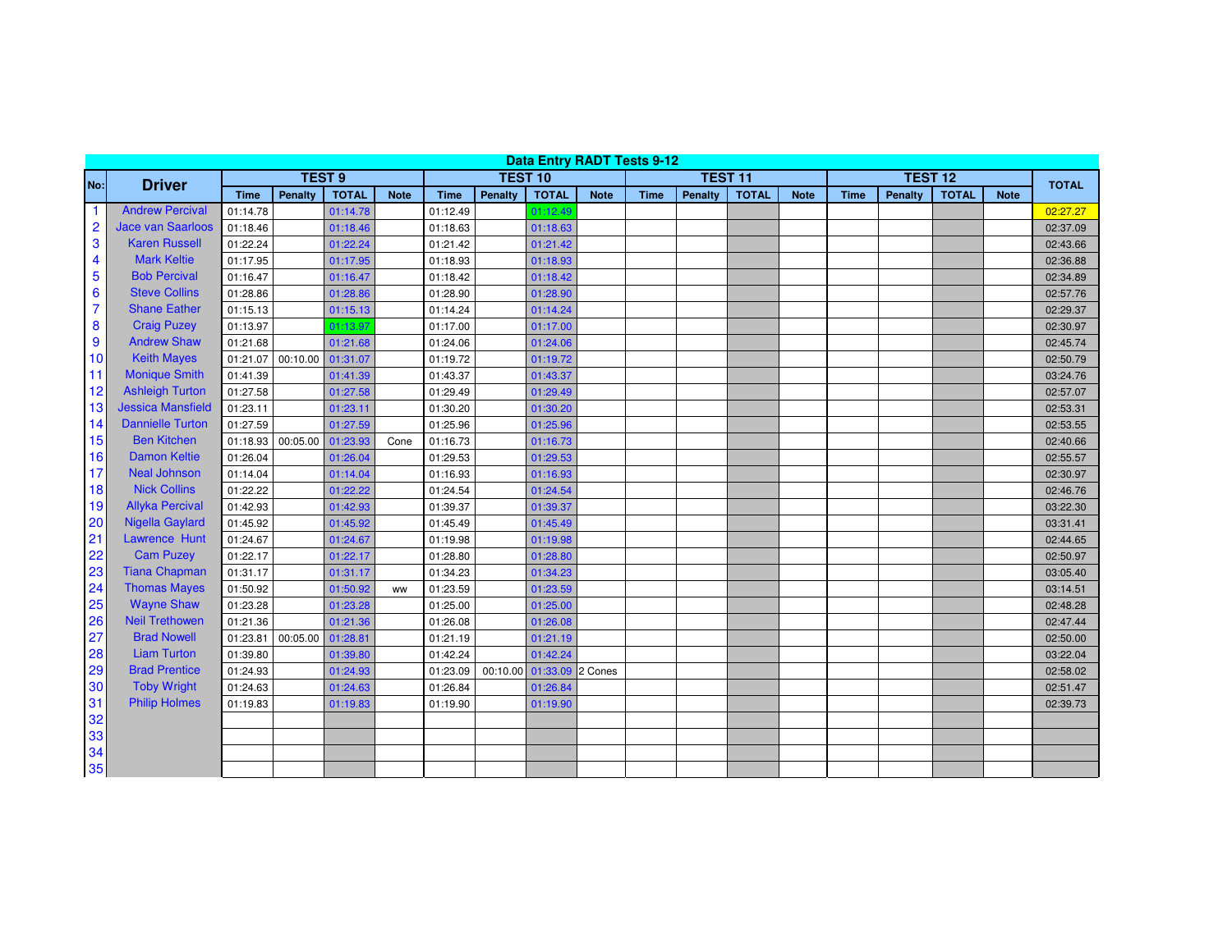| <b>Data Entry RADT Tests 9-12</b> |                          |                   |                |              |             |             |                |                           |             |             |                |              |             |                |         |              |             |              |
|-----------------------------------|--------------------------|-------------------|----------------|--------------|-------------|-------------|----------------|---------------------------|-------------|-------------|----------------|--------------|-------------|----------------|---------|--------------|-------------|--------------|
| No:                               | <b>Driver</b>            |                   | <b>TEST 9</b>  |              |             |             | <b>TEST 10</b> |                           |             |             | <b>TEST 11</b> |              |             | <b>TEST 12</b> |         |              |             | <b>TOTAL</b> |
|                                   |                          | <b>Time</b>       | <b>Penalty</b> | <b>TOTAL</b> | <b>Note</b> | <b>Time</b> | <b>Penalty</b> | <b>TOTAL</b>              | <b>Note</b> | <b>Time</b> | Penalty        | <b>TOTAL</b> | <b>Note</b> | <b>Time</b>    | Penalty | <b>TOTAL</b> | <b>Note</b> |              |
| 1                                 | <b>Andrew Percival</b>   | 01:14.78          |                | 01:14.78     |             | 01:12.49    |                | 01:12.49                  |             |             |                |              |             |                |         |              |             | 02:27.27     |
| $\overline{2}$                    | <b>Jace van Saarloos</b> | 01:18.46          |                | 01:18.46     |             | 01:18.63    |                | 01:18.63                  |             |             |                |              |             |                |         |              |             | 02:37.09     |
| 3                                 | <b>Karen Russell</b>     | 01:22.24          |                | 01:22.24     |             | 01:21.42    |                | 01:21.42                  |             |             |                |              |             |                |         |              |             | 02:43.66     |
| 4                                 | <b>Mark Keltie</b>       | 01:17.95          |                | 01:17.95     |             | 01:18.93    |                | 01:18.93                  |             |             |                |              |             |                |         |              |             | 02:36.88     |
| 5                                 | <b>Bob Percival</b>      | 01:16.47          |                | 01:16.47     |             | 01:18.42    |                | 01:18.42                  |             |             |                |              |             |                |         |              |             | 02:34.89     |
| 6                                 | <b>Steve Collins</b>     | 01:28.86          |                | 01:28.86     |             | 01:28.90    |                | 01:28.90                  |             |             |                |              |             |                |         |              |             | 02:57.76     |
| $\overline{7}$                    | <b>Shane Eather</b>      | 01:15.13          |                | 01:15.13     |             | 01:14.24    |                | 01:14.24                  |             |             |                |              |             |                |         |              |             | 02:29.37     |
| 8                                 | <b>Craig Puzey</b>       | 01:13.97          |                | 01:13.97     |             | 01:17.00    |                | 01:17.00                  |             |             |                |              |             |                |         |              |             | 02:30.97     |
| 9                                 | <b>Andrew Shaw</b>       | 01:21.68          |                | 01:21.68     |             | 01:24.06    |                | 01:24.06                  |             |             |                |              |             |                |         |              |             | 02:45.74     |
| 10                                | <b>Keith Mayes</b>       | 01:21.07          | 00:10.00       | 01:31.07     |             | 01:19.72    |                | 01:19.72                  |             |             |                |              |             |                |         |              |             | 02:50.79     |
| 11                                | <b>Monique Smith</b>     | 01:41.39          |                | 01:41.39     |             | 01:43.37    |                | 01:43.37                  |             |             |                |              |             |                |         |              |             | 03:24.76     |
| 12                                | <b>Ashleigh Turton</b>   | 01:27.58          |                | 01:27.58     |             | 01:29.49    |                | 01:29.49                  |             |             |                |              |             |                |         |              |             | 02:57.07     |
| 13                                | <b>Jessica Mansfield</b> | 01:23.11          |                | 01:23.11     |             | 01:30.20    |                | 01:30.20                  |             |             |                |              |             |                |         |              |             | 02:53.31     |
| 14                                | <b>Dannielle Turton</b>  | 01:27.59          |                | 01:27.59     |             | 01:25.96    |                | 01:25.96                  |             |             |                |              |             |                |         |              |             | 02:53.55     |
| 15                                | <b>Ben Kitchen</b>       | 01:18.93 00:05.00 |                | 01:23.93     | Cone        | 01:16.73    |                | 01:16.73                  |             |             |                |              |             |                |         |              |             | 02:40.66     |
| 16                                | <b>Damon Keltie</b>      | 01:26.04          |                | 01:26.04     |             | 01:29.53    |                | 01:29.53                  |             |             |                |              |             |                |         |              |             | 02:55.57     |
| 17                                | <b>Neal Johnson</b>      | 01:14.04          |                | 01:14.04     |             | 01:16.93    |                | 01:16.93                  |             |             |                |              |             |                |         |              |             | 02:30.97     |
| 18                                | <b>Nick Collins</b>      | 01:22.22          |                | 01:22.22     |             | 01:24.54    |                | 01:24.54                  |             |             |                |              |             |                |         |              |             | 02:46.76     |
| 19                                | <b>Allyka Percival</b>   | 01:42.93          |                | 01:42.93     |             | 01:39.37    |                | 01:39.37                  |             |             |                |              |             |                |         |              |             | 03:22.30     |
| 20                                | <b>Nigella Gaylard</b>   | 01:45.92          |                | 01:45.92     |             | 01:45.49    |                | 01:45.49                  |             |             |                |              |             |                |         |              |             | 03:31.41     |
| 21                                | Lawrence Hunt            | 01:24.67          |                | 01:24.67     |             | 01:19.98    |                | 01:19.98                  |             |             |                |              |             |                |         |              |             | 02:44.65     |
| 22                                | <b>Cam Puzey</b>         | 01:22.17          |                | 01:22.17     |             | 01:28.80    |                | 01:28.80                  |             |             |                |              |             |                |         |              |             | 02:50.97     |
| 23                                | <b>Tiana Chapman</b>     | 01:31.17          |                | 01:31.17     |             | 01:34.23    |                | 01:34.23                  |             |             |                |              |             |                |         |              |             | 03:05.40     |
| 24                                | <b>Thomas Mayes</b>      | 01:50.92          |                | 01:50.92     | <b>WW</b>   | 01:23.59    |                | 01:23.59                  |             |             |                |              |             |                |         |              |             | 03:14.51     |
| 25                                | <b>Wayne Shaw</b>        | 01:23.28          |                | 01:23.28     |             | 01:25.00    |                | 01:25.00                  |             |             |                |              |             |                |         |              |             | 02:48.28     |
| 26                                | <b>Neil Trethowen</b>    | 01:21.36          |                | 01:21.36     |             | 01:26.08    |                | 01:26.08                  |             |             |                |              |             |                |         |              |             | 02:47.44     |
| 27                                | <b>Brad Nowell</b>       | 01:23.81          | 00:05.00       | 01:28.81     |             | 01:21.19    |                | 01:21.19                  |             |             |                |              |             |                |         |              |             | 02:50.00     |
| 28                                | <b>Liam Turton</b>       | 01:39.80          |                | 01:39.80     |             | 01:42.24    |                | 01:42.24                  |             |             |                |              |             |                |         |              |             | 03:22.04     |
| 29                                | <b>Brad Prentice</b>     | 01:24.93          |                | 01:24.93     |             | 01:23.09    |                | 00:10.00 01:33.09 2 Cones |             |             |                |              |             |                |         |              |             | 02:58.02     |
| 30                                | <b>Toby Wright</b>       | 01:24.63          |                | 01:24.63     |             | 01:26.84    |                | 01:26.84                  |             |             |                |              |             |                |         |              |             | 02:51.47     |
| 31                                | <b>Philip Holmes</b>     | 01:19.83          |                | 01:19.83     |             | 01:19.90    |                | 01:19.90                  |             |             |                |              |             |                |         |              |             | 02:39.73     |
| 32                                |                          |                   |                |              |             |             |                |                           |             |             |                |              |             |                |         |              |             |              |
| 33                                |                          |                   |                |              |             |             |                |                           |             |             |                |              |             |                |         |              |             |              |
| 34                                |                          |                   |                |              |             |             |                |                           |             |             |                |              |             |                |         |              |             |              |
| 35                                |                          |                   |                |              |             |             |                |                           |             |             |                |              |             |                |         |              |             |              |